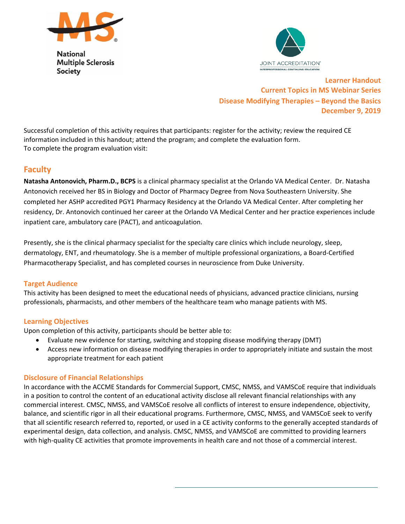

**National Multiple Sclerosis Society** 



**Learner Handout Current Topics in MS Webinar Series Disease Modifying Therapies – Beyond the Basics December 9, 2019** 

Successful completion of this activity requires that participants: register for the activity; review the required CE information included in this handout; attend the program; and complete the evaluation form. To complete the program evaluation visit:

# **Faculty**

**Natasha Antonovich, Pharm.D., BCPS** is a clinical pharmacy specialist at the Orlando VA Medical Center. Dr. Natasha Antonovich received her BS in Biology and Doctor of Pharmacy Degree from Nova Southeastern University. She completed her ASHP accredited PGY1 Pharmacy Residency at the Orlando VA Medical Center. After completing her residency, Dr. Antonovich continued her career at the Orlando VA Medical Center and her practice experiences include inpatient care, ambulatory care (PACT), and anticoagulation.

Presently, she is the clinical pharmacy specialist for the specialty care clinics which include neurology, sleep, dermatology, ENT, and rheumatology. She is a member of multiple professional organizations, a Board‐Certified Pharmacotherapy Specialist, and has completed courses in neuroscience from Duke University.

# **Target Audience**

This activity has been designed to meet the educational needs of physicians, advanced practice clinicians, nursing professionals, pharmacists, and other members of the healthcare team who manage patients with MS.

# **Learning Objectives**

Upon completion of this activity, participants should be better able to:

- Evaluate new evidence for starting, switching and stopping disease modifying therapy (DMT)
- Access new information on disease modifying therapies in order to appropriately initiate and sustain the most appropriate treatment for each patient

# **Disclosure of Financial Relationships**

In accordance with the ACCME Standards for Commercial Support, CMSC, NMSS, and VAMSCoE require that individuals in a position to control the content of an educational activity disclose all relevant financial relationships with any commercial interest. CMSC, NMSS, and VAMSCoE resolve all conflicts of interest to ensure independence, objectivity, balance, and scientific rigor in all their educational programs. Furthermore, CMSC, NMSS, and VAMSCoE seek to verify that all scientific research referred to, reported, or used in a CE activity conforms to the generally accepted standards of experimental design, data collection, and analysis. CMSC, NMSS, and VAMSCoE are committed to providing learners with high-quality CE activities that promote improvements in health care and not those of a commercial interest.